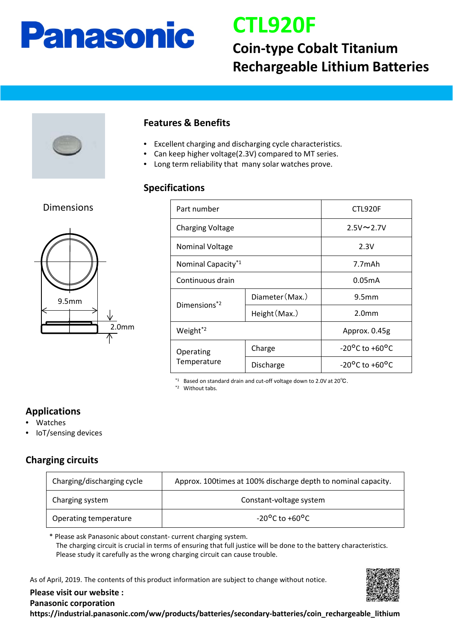## **Panasonic**

## **CTL920F**

### **Coin-type Cobalt Titanium Rechargeable Lithium Batteries**



#### **Features & Benefits**

- Excellent charging and discharging cycle characteristics.
- Can keep higher voltage(2.3V) compared to MT series.
- Long term reliability that many solar watches prove.

#### **Specifications**

# 2.0mm 9.5mm Dimensions

| Part number                    |                 | CTL920F                            |
|--------------------------------|-----------------|------------------------------------|
| <b>Charging Voltage</b>        |                 | $2.5V \sim 2.7V$                   |
| <b>Nominal Voltage</b>         |                 | 2.3V                               |
| Nominal Capacity <sup>*1</sup> |                 | 7.7mAh                             |
| Continuous drain               |                 | 0.05mA                             |
| Dimensions <sup>*2</sup>       | Diameter (Max.) | 9.5 <sub>mm</sub>                  |
|                                | Height (Max.)   | 2.0 <sub>mm</sub>                  |
| Weight <sup>*2</sup>           |                 | Approx. 0.45g                      |
| Operating<br>Temperature       | Charge          | $-20^{\circ}$ C to $+60^{\circ}$ C |
|                                | Discharge       | $-20^{\circ}$ C to $+60^{\circ}$ C |

\*1 Based on standard drain and cut-off voltage down to 2.0V at 20℃.

\*2 Without tabs.

#### **Applications**

- Watches
- IoT/sensing devices

#### **Charging circuits**

| Charging/discharging cycle | Approx. 100times at 100% discharge depth to nominal capacity. |  |
|----------------------------|---------------------------------------------------------------|--|
| Charging system            | Constant-voltage system                                       |  |
| Operating temperature      | $-20^{\circ}$ C to $+60^{\circ}$ C                            |  |

\* Please ask Panasonic about constant- current charging system. The charging circuit is crucial in terms of ensuring that full justice will be done to the battery characteristics. Please study it carefully as the wrong charging circuit can cause trouble.

As of April, 2019. The contents of this product information are subject to change without notice.



**Please visit our website : Panasonic corporation https://industrial.panasonic.com/ww/products/batteries/secondary-batteries/coin\_rechargeable\_lithium**